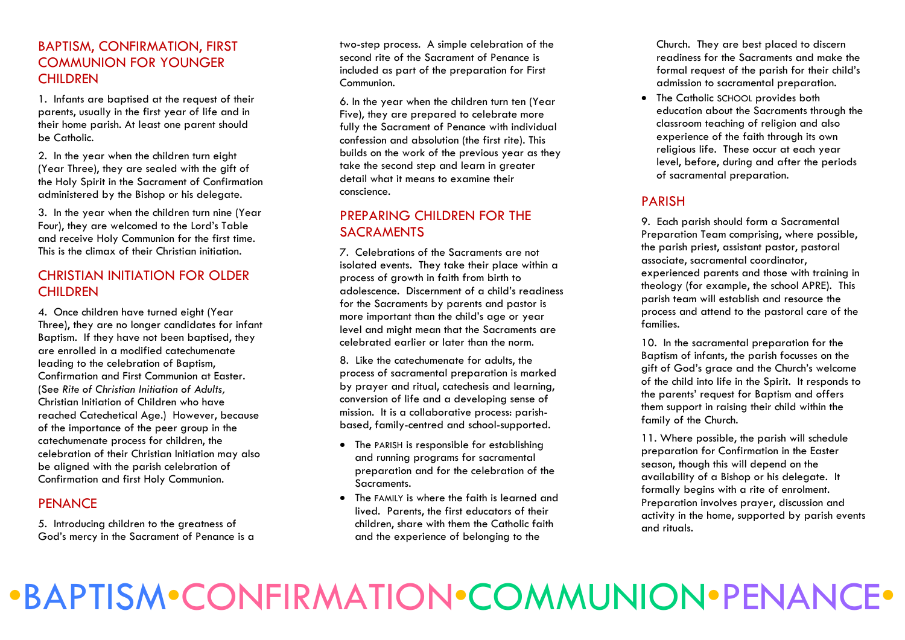# BAPTISM, CONFIRMATION, FIRST COMMUNION FOR YOUNGER **CHILDREN**

1. Infants are baptised at the request of their parents, usually in the first year of life and in their home parish. At least one parent should be Catholic.

2. In the year when the children turn eight (Year Three), they are sealed with the gift of the Holy Spirit in the Sacrament of Confirmation administered by the Bishop or his delegate.

3. In the year when the children turn nine (Year Four), they are welcomed to the Lord's Table and receive Holy Communion for the first time. This is the climax of their Christian initiation.

# CHRISTIAN INITIATION FOR OLDER **CHILDREN**

4. Once children have turned eight (Year Three), they are no longer candidates for infant Baptism. If they have not been baptised, they are enrolled in a modified catechumenate leading to the celebration of Baptism, Confirmation and First Communion at Easter. (See *Rite of Christian Initiation of Adults,*  Christian Initiation of Children who have reached Catechetical Age.) However, because of the importance of the peer group in the catechumenate process for children, the celebration of their Christian Initiation may also be aligned with the parish celebration of Confirmation and first Holy Communion.

# **PENANCE**

5. Introducing children to the greatness of God's mercy in the Sacrament of Penance is a

two-step process. A simple celebration of the second rite of the Sacrament of Penance is included as part of the preparation for First Communion.

6. In the year when the children turn ten (Year Five), they are prepared to celebrate more fully the Sacrament of Penance with individual confession and absolution (the first rite). This builds on the work of the previous year as they take the second step and learn in greater detail what it means to examine their conscience.

# PREPARING CHILDREN FOR THE SACRAMENTS

7. Celebrations of the Sacraments are not isolated events. They take their place within a process of growth in faith from birth to adolescence. Discernment of a child's readiness for the Sacraments by parents and pastor is more important than the child's age or year level and might mean that the Sacraments are celebrated earlier or later than the norm.

8. Like the catechumenate for adults, the process of sacramental preparation is marked by prayer and ritual, catechesis and learning, conversion of life and a developing sense of mission. It is a collaborative process: parishbased, family-centred and school-supported.

- The PARISH is responsible for establishing and running programs for sacramental preparation and for the celebration of the Sacraments.
- The FAMILY is where the faith is learned and lived. Parents, the first educators of their children, share with them the Catholic faith and the experience of belonging to the

Church. They are best placed to discern readiness for the Sacraments and make the formal request of the parish for their child's admission to sacramental preparation.

 The Catholic SCHOOL provides both education about the Sacraments through the classroom teaching of religion and also experience of the faith through its own religious life. These occur at each year level, before, during and after the periods of sacramental preparation.

# PARISH

9. Each parish should form a Sacramental Preparation Team comprising, where possible, the parish priest, assistant pastor, pastoral associate, sacramental coordinator, experienced parents and those with training in theology (for example, the school APRE). This parish team will establish and resource the process and attend to the pastoral care of the families.

10. In the sacramental preparation for the Baptism of infants, the parish focusses on the gift of God's grace and the Church's welcome of the child into life in the Spirit. It responds to the parents' request for Baptism and offers them support in raising their child within the family of the Church.

11. Where possible, the parish will schedule preparation for Confirmation in the Easter season, though this will depend on the availability of a Bishop or his delegate. It formally begins with a rite of enrolment. Preparation involves prayer, discussion and activity in the home, supported by parish events and rituals.

# •BAPTISM•CONFIRMATION•COMMUNION•PENANCE•